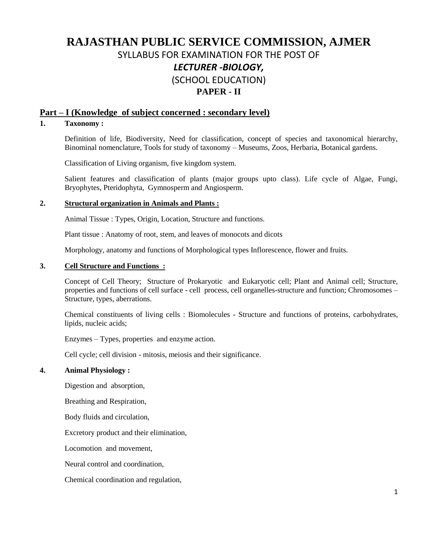# **RAJASTHAN PUBLIC SERVICE COMMISSION, AJMER** SYLLABUS FOR EXAMINATION FOR THE POST OF *LECTURER -BIOLOGY,*  (SCHOOL EDUCATION) **PAPER - II**

### **Part – I (Knowledge of subject concerned : secondary level)**

### **1. Taxonomy :**

Definition of life, Biodiversity, Need for classification, concept of species and taxonomical hierarchy, Binominal nomenclature, Tools for study of taxonomy – Museums, Zoos, Herbaria, Botanical gardens.

Classification of Living organism, five kingdom system.

Salient features and classification of plants (major groups upto class). Life cycle of Algae, Fungi, Bryophytes, Pteridophyta, Gymnosperm and Angiosperm.

#### **2. Structural organization in Animals and Plants :**

Animal Tissue : Types, Origin, Location, Structure and functions.

Plant tissue : Anatomy of root, stem, and leaves of monocots and dicots

Morphology, anatomy and functions of Morphological types Inflorescence, flower and fruits.

#### **3. Cell Structure and Functions :**

Concept of Cell Theory; Structure of Prokaryotic and Eukaryotic cell; Plant and Animal cell; Structure, properties and functions of cell surface - cell process, cell organelles-structure and function; Chromosomes – Structure, types, aberrations.

Chemical constituents of living cells : Biomolecules - Structure and functions of proteins, carbohydrates, lipids, nucleic acids;

Enzymes – Types, properties and enzyme action.

Cell cycle; cell division - mitosis, meiosis and their significance.

#### **4. Animal Physiology :**

Digestion and absorption,

Breathing and Respiration,

Body fluids and circulation,

Excretory product and their elimination,

Locomotion and movement,

Neural control and coordination,

Chemical coordination and regulation,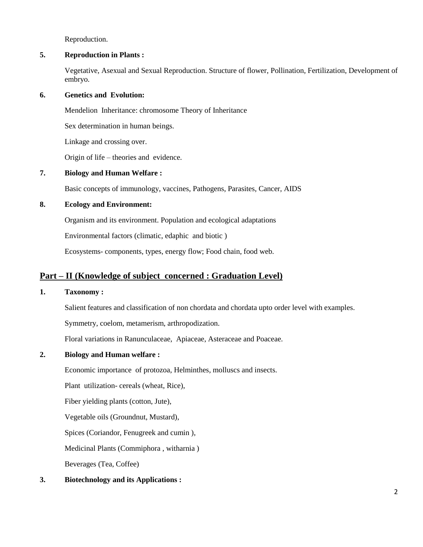Reproduction.

### **5. Reproduction in Plants :**

Vegetative, Asexual and Sexual Reproduction. Structure of flower, Pollination, Fertilization, Development of embryo.

### **6. Genetics and Evolution:**

Mendelion Inheritance: chromosome Theory of Inheritance

Sex determination in human beings.

Linkage and crossing over.

Origin of life – theories and evidence.

### **7. Biology and Human Welfare :**

Basic concepts of immunology, vaccines, Pathogens, Parasites, Cancer, AIDS

### **8. Ecology and Environment:**

Organism and its environment. Population and ecological adaptations

Environmental factors (climatic, edaphic and biotic )

Ecosystems- components, types, energy flow; Food chain, food web.

# **Part – II (Knowledge of subject concerned : Graduation Level)**

### **1. Taxonomy :**

Salient features and classification of non chordata and chordata upto order level with examples.

Symmetry, coelom, metamerism, arthropodization.

Floral variations in Ranunculaceae, Apiaceae, Asteraceae and Poaceae.

## **2. Biology and Human welfare :**

Economic importance of protozoa, Helminthes, molluscs and insects.

Plant utilization- cereals (wheat, Rice),

Fiber yielding plants (cotton, Jute),

Vegetable oils (Groundnut, Mustard),

Spices (Coriandor, Fenugreek and cumin ),

Medicinal Plants (Commiphora , witharnia )

Beverages (Tea, Coffee)

**3. Biotechnology and its Applications :**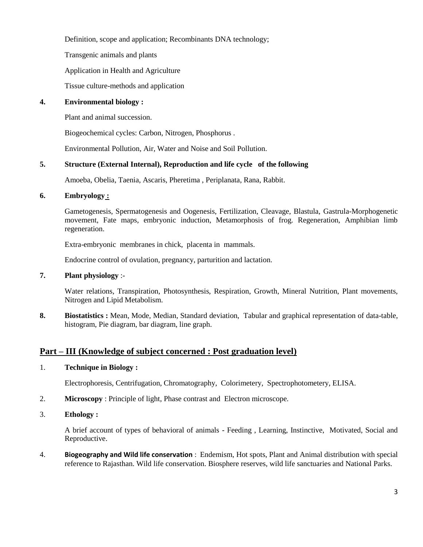Definition, scope and application; Recombinants DNA technology;

Transgenic animals and plants

Application in Health and Agriculture

Tissue culture-methods and application

### **4. Environmental biology :**

Plant and animal succession.

Biogeochemical cycles: Carbon, Nitrogen, Phosphorus .

Environmental Pollution, Air, Water and Noise and Soil Pollution.

### **5. Structure (External Internal), Reproduction and life cycle of the following**

Amoeba, Obelia, Taenia, Ascaris, Pheretima , Periplanata, Rana, Rabbit.

### **6. Embryology :**

Gametogenesis, Spermatogenesis and Oogenesis, Fertilization, Cleavage, Blastula, Gastrula-Morphogenetic movement, Fate maps, embryonic induction, Metamorphosis of frog. Regeneration, Amphibian limb regeneration.

Extra-embryonic membranes in chick, placenta in mammals.

Endocrine control of ovulation, pregnancy, parturition and lactation.

### **7. Plant physiology** :-

Water relations, Transpiration, Photosynthesis, Respiration, Growth, Mineral Nutrition, Plant movements, Nitrogen and Lipid Metabolism.

**8. Biostatistics :** Mean, Mode, Median, Standard deviation, Tabular and graphical representation of data-table, histogram, Pie diagram, bar diagram, line graph.

## **Part – III (Knowledge of subject concerned : Post graduation level)**

#### 1. **Technique in Biology :**

Electrophoresis, Centrifugation, Chromatography, Colorimetery, Spectrophotometery, ELISA.

- 2. **Microscopy** : Principle of light, Phase contrast and Electron microscope.
- 3. **Ethology :**

A brief account of types of behavioral of animals - Feeding , Learning, Instinctive, Motivated, Social and Reproductive.

4. **Biogeography and Wild life conservation** : Endemism, Hot spots, Plant and Animal distribution with special reference to Rajasthan. Wild life conservation. Biosphere reserves, wild life sanctuaries and National Parks.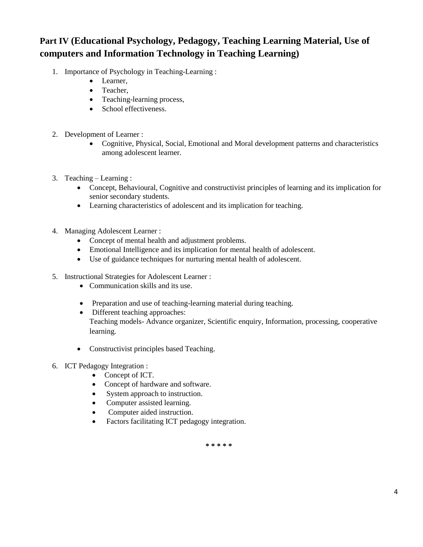# **Part IV (Educational Psychology, Pedagogy, Teaching Learning Material, Use of computers and Information Technology in Teaching Learning)**

- 1. Importance of Psychology in Teaching-Learning :
	- Learner.
	- Teacher,
	- Teaching-learning process,
	- School effectiveness.
- 2. Development of Learner :
	- Cognitive, Physical, Social, Emotional and Moral development patterns and characteristics among adolescent learner.
- 3. Teaching Learning :
	- Concept, Behavioural, Cognitive and constructivist principles of learning and its implication for senior secondary students.
	- Learning characteristics of adolescent and its implication for teaching.
- 4. Managing Adolescent Learner :
	- Concept of mental health and adjustment problems.
	- Emotional Intelligence and its implication for mental health of adolescent.
	- Use of guidance techniques for nurturing mental health of adolescent.
- 5. Instructional Strategies for Adolescent Learner :
	- Communication skills and its use.
	- Preparation and use of teaching-learning material during teaching.
	- Different teaching approaches: Teaching models- Advance organizer, Scientific enquiry, Information, processing, cooperative learning.
	- Constructivist principles based Teaching.
- 6. ICT Pedagogy Integration :
	- Concept of ICT.
	- Concept of hardware and software.
	- System approach to instruction.
	- Computer assisted learning.
	- Computer aided instruction.
	- Factors facilitating ICT pedagogy integration.

**\* \* \* \* \***